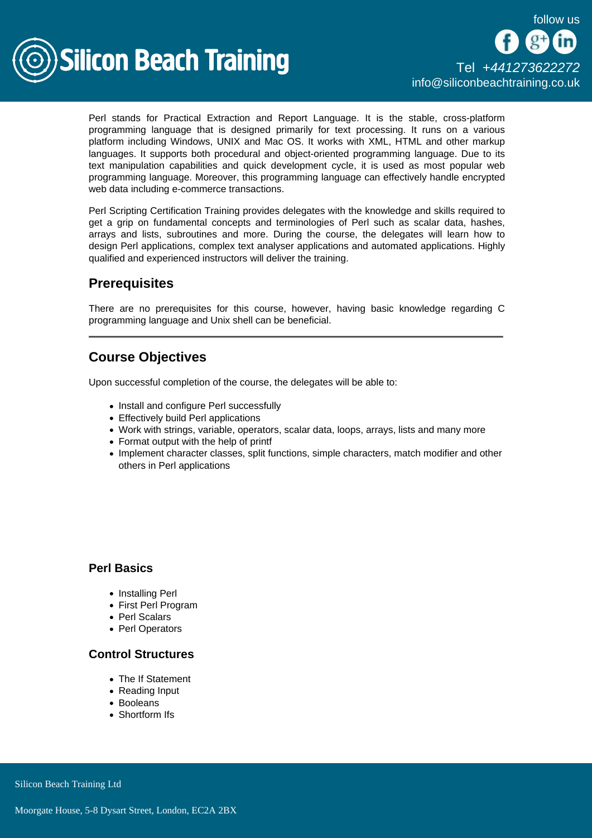

Perl stands for Practical Extraction and Report Language. It is the stable, cross-platform programming language that is designed primarily for text processing. It runs on a various platform including Windows, UNIX and Mac OS. It works with XML, HTML and other markup languages. It supports both procedural and object-oriented programming language. Due to its text manipulation capabilities and quick development cycle, it is used as most popular web programming language. Moreover, this programming language can effectively handle encrypted web data including e-commerce transactions.

Perl Scripting Certification Training provides delegates with the knowledge and skills required to get a grip on fundamental concepts and terminologies of Perl such as scalar data, hashes, arrays and lists, subroutines and more. During the course, the delegates will learn how to design Perl applications, complex text analyser applications and automated applications. Highly qualified and experienced instructors will deliver the training.

# **Prerequisites**

There are no prerequisites for this course, however, having basic knowledge regarding C programming language and Unix shell can be beneficial.

# Course Objectives

Upon successful completion of the course, the delegates will be able to:

- Install and configure Perl successfully
- Effectively build Perl applications
- Work with strings, variable, operators, scalar data, loops, arrays, lists and many more
- Format output with the help of printf
- Implement character classes, split functions, simple characters, match modifier and other others in Perl applications

### Perl Basics

- Installing Perl
- First Perl Program
- Perl Scalars
- Perl Operators

#### Control Structures

- The If Statement
- Reading Input
- Booleans
- Shortform Ifs

**Silicon Beach Training Ltd**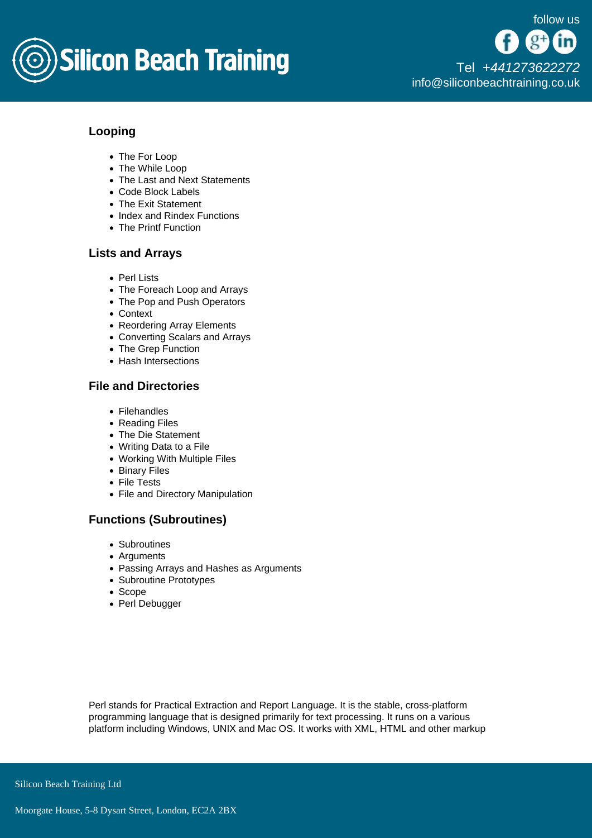

# Looping

- The For Loop
- The While Loop
- The Last and Next Statements
- Code Block Labels
- The Exit Statement
- Index and Rindex Functions
- The Printf Function

### Lists and Arrays

- Perl Lists
- The Foreach Loop and Arrays
- The Pop and Push Operators
- Context
- Reordering Array Elements
- Converting Scalars and Arrays
- The Grep Function
- Hash Intersections

### File and Directories

- Filehandles
- Reading Files
- The Die Statement
- Writing Data to a File
- Working With Multiple Files
- Binary Files
- File Tests
- File and Directory Manipulation

#### Functions (Subroutines)

- Subroutines
- Arguments
- Passing Arrays and Hashes as Arguments
- Subroutine Prototypes
- Scope
- Perl Debugger

Perl stands for Practical Extraction and Report Language. It is the stable, cross-platform programming language that is designed primarily for text processing. It runs on a various platform including Windows, UNIX and Mac OS. It works with XML, HTML and other markup

Silicon Beach Training Ltd